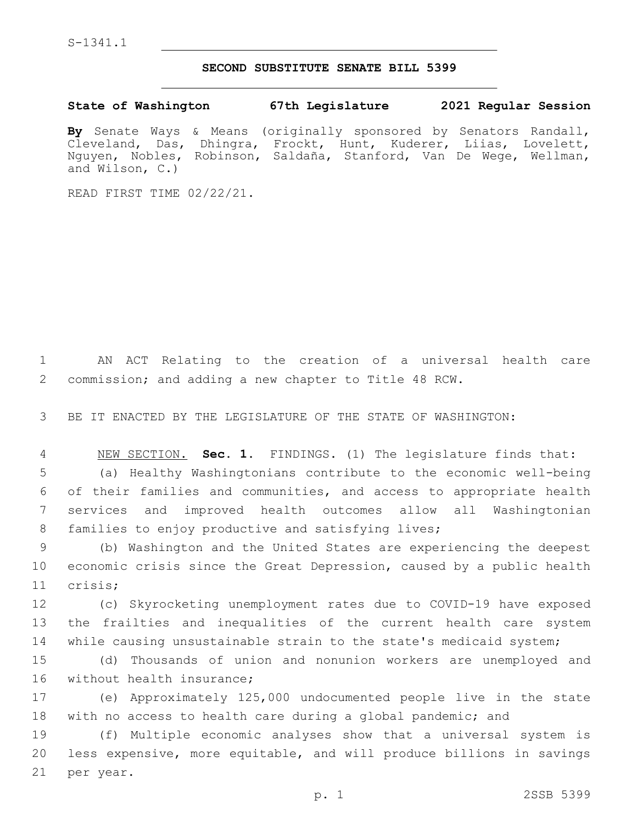## **SECOND SUBSTITUTE SENATE BILL 5399**

**State of Washington 67th Legislature 2021 Regular Session**

**By** Senate Ways & Means (originally sponsored by Senators Randall, Cleveland, Das, Dhingra, Frockt, Hunt, Kuderer, Liias, Lovelett, Nguyen, Nobles, Robinson, Saldaña, Stanford, Van De Wege, Wellman, and Wilson, C.)

READ FIRST TIME 02/22/21.

1 AN ACT Relating to the creation of a universal health care 2 commission; and adding a new chapter to Title 48 RCW.

3 BE IT ENACTED BY THE LEGISLATURE OF THE STATE OF WASHINGTON:

 NEW SECTION. **Sec. 1.** FINDINGS. (1) The legislature finds that: (a) Healthy Washingtonians contribute to the economic well-being of their families and communities, and access to appropriate health services and improved health outcomes allow all Washingtonian 8 families to enjoy productive and satisfying lives;

9 (b) Washington and the United States are experiencing the deepest 10 economic crisis since the Great Depression, caused by a public health 11 crisis;

12 (c) Skyrocketing unemployment rates due to COVID-19 have exposed 13 the frailties and inequalities of the current health care system 14 while causing unsustainable strain to the state's medicaid system;

15 (d) Thousands of union and nonunion workers are unemployed and 16 without health insurance;

17 (e) Approximately 125,000 undocumented people live in the state 18 with no access to health care during a global pandemic; and

19 (f) Multiple economic analyses show that a universal system is 20 less expensive, more equitable, and will produce billions in savings 21 per year.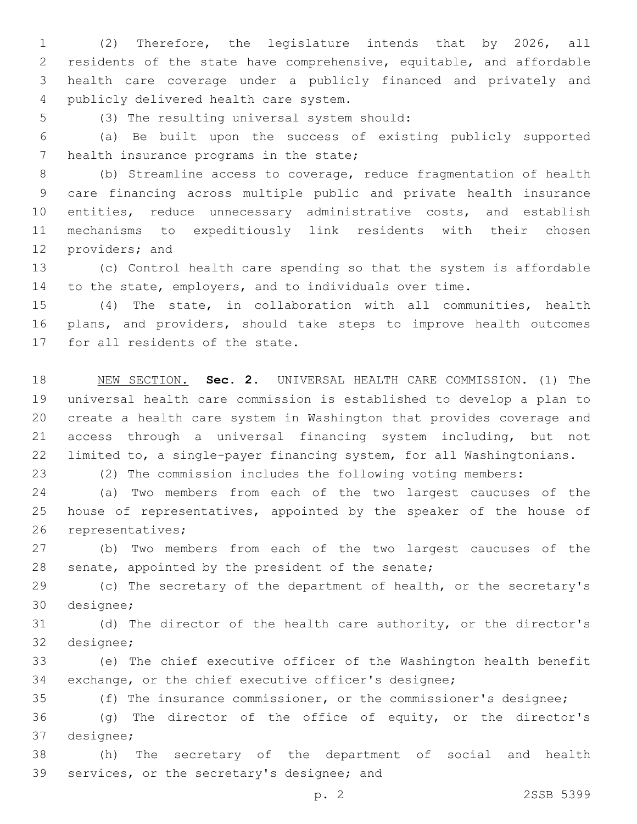(2) Therefore, the legislature intends that by 2026, all residents of the state have comprehensive, equitable, and affordable health care coverage under a publicly financed and privately and 4 publicly delivered health care system.

5 (3) The resulting universal system should:

 (a) Be built upon the success of existing publicly supported 7 health insurance programs in the state;

 (b) Streamline access to coverage, reduce fragmentation of health care financing across multiple public and private health insurance 10 entities, reduce unnecessary administrative costs, and establish mechanisms to expeditiously link residents with their chosen 12 providers; and

 (c) Control health care spending so that the system is affordable to the state, employers, and to individuals over time.

 (4) The state, in collaboration with all communities, health plans, and providers, should take steps to improve health outcomes 17 for all residents of the state.

 NEW SECTION. **Sec. 2.** UNIVERSAL HEALTH CARE COMMISSION. (1) The universal health care commission is established to develop a plan to create a health care system in Washington that provides coverage and access through a universal financing system including, but not limited to, a single-payer financing system, for all Washingtonians.

(2) The commission includes the following voting members:

 (a) Two members from each of the two largest caucuses of the house of representatives, appointed by the speaker of the house of 26 representatives;

 (b) Two members from each of the two largest caucuses of the 28 senate, appointed by the president of the senate;

 (c) The secretary of the department of health, or the secretary's 30 designee;

 (d) The director of the health care authority, or the director's 32 designee;

 (e) The chief executive officer of the Washington health benefit exchange, or the chief executive officer's designee;

 (f) The insurance commissioner, or the commissioner's designee; (g) The director of the office of equity, or the director's

37 designee;

 (h) The secretary of the department of social and health 39 services, or the secretary's designee; and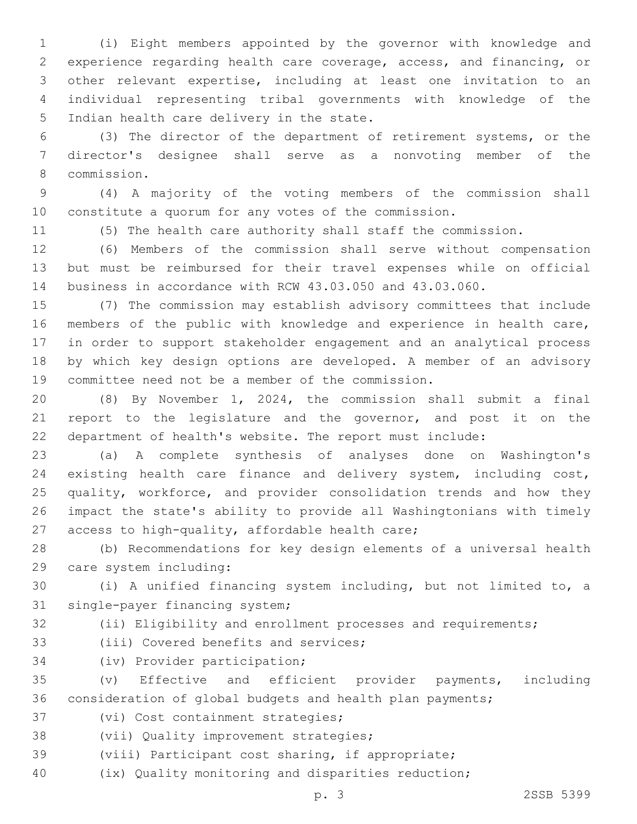(i) Eight members appointed by the governor with knowledge and experience regarding health care coverage, access, and financing, or other relevant expertise, including at least one invitation to an individual representing tribal governments with knowledge of the 5 Indian health care delivery in the state.

 (3) The director of the department of retirement systems, or the director's designee shall serve as a nonvoting member of the commission.8

 (4) A majority of the voting members of the commission shall constitute a quorum for any votes of the commission.

(5) The health care authority shall staff the commission.

 (6) Members of the commission shall serve without compensation but must be reimbursed for their travel expenses while on official business in accordance with RCW 43.03.050 and 43.03.060.

 (7) The commission may establish advisory committees that include members of the public with knowledge and experience in health care, in order to support stakeholder engagement and an analytical process by which key design options are developed. A member of an advisory 19 committee need not be a member of the commission.

 (8) By November 1, 2024, the commission shall submit a final report to the legislature and the governor, and post it on the department of health's website. The report must include:

 (a) A complete synthesis of analyses done on Washington's existing health care finance and delivery system, including cost, quality, workforce, and provider consolidation trends and how they impact the state's ability to provide all Washingtonians with timely 27 access to high-quality, affordable health care;

 (b) Recommendations for key design elements of a universal health 29 care system including:

 (i) A unified financing system including, but not limited to, a 31 single-payer financing system;

- (ii) Eligibility and enrollment processes and requirements;
- 33 (iii) Covered benefits and services;
- 34 (iv) Provider participation;

 (v) Effective and efficient provider payments, including consideration of global budgets and health plan payments;

- 37 (vi) Cost containment strategies;
- 38 (vii) Quality improvement strategies;
- (viii) Participant cost sharing, if appropriate;
- (ix) Quality monitoring and disparities reduction;